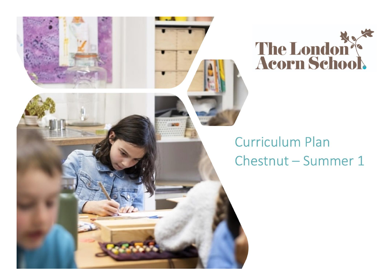



## **Curriculum Plan** Chestnut - Summer 1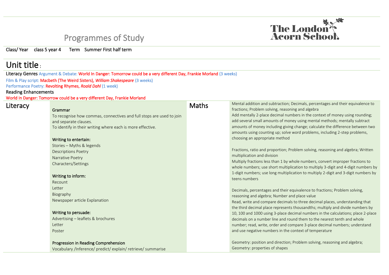## Programmes of Study

Class/ Year class 5 year 4 Term Summer First half term

## Unit title :

Literacy Genres Argument & Debate: World In Danger: Tomorrow could be a very different Day, Frankie Morland (3 weeks)

Film & Play script: Macbeth (The Weird Sisters), *William Shakespeare* (3 weeks)

Performance Poetry: Revolting Rhymes, *Roald Dahl* (1 week)

## Reading Enhancements

World In Danger: Tomorrow could be a very different Day, Frankie Morland

| <b>Maths</b>                                                                                                                                                                                                                                                                                                                                                                                                                                                                                                            | Mental addition and subtraction; Decimals, percentages and their equivalence to<br>fractions; Problem solving, reasoning and algebra<br>Add mentally 2-place decimal numbers in the context of money using rounding;<br>add several small amounts of money using mental methods; mentally subtract<br>amounts of money including giving change; calculate the difference between two<br>amounts using counting up; solve word problems, including 2-step problems,<br>choosing an appropriate method<br>Fractions, ratio and proportion; Problem solving, reasoning and algebra; Written<br>multiplication and division<br>Multiply fractions less than 1 by whole numbers, convert improper fractions to<br>whole numbers; use short multiplication to multiply 3-digit and 4-digit numbers by<br>1-digit numbers; use long multiplication to multiply 2-digit and 3-digit numbers by<br>teens numbers<br>Decimals, percentages and their equivalence to fractions; Problem solving,<br>reasoning and algebra; Number and place value<br>Read, write and compare decimals to three decimal places, understanding that<br>the third decimal place represents thousandths; multiply and divide numbers by<br>10, 100 and 1000 using 3-place decimal numbers in the calculations; place 2-place<br>decimals on a number line and round them to the nearest tenth and whole<br>number; read, write, order and compare 3-place decimal numbers; understand |
|-------------------------------------------------------------------------------------------------------------------------------------------------------------------------------------------------------------------------------------------------------------------------------------------------------------------------------------------------------------------------------------------------------------------------------------------------------------------------------------------------------------------------|--------------------------------------------------------------------------------------------------------------------------------------------------------------------------------------------------------------------------------------------------------------------------------------------------------------------------------------------------------------------------------------------------------------------------------------------------------------------------------------------------------------------------------------------------------------------------------------------------------------------------------------------------------------------------------------------------------------------------------------------------------------------------------------------------------------------------------------------------------------------------------------------------------------------------------------------------------------------------------------------------------------------------------------------------------------------------------------------------------------------------------------------------------------------------------------------------------------------------------------------------------------------------------------------------------------------------------------------------------------------------------------------------------------------------------------------------------|
|                                                                                                                                                                                                                                                                                                                                                                                                                                                                                                                         | and use negative numbers in the context of temperature<br>Geometry: position and direction; Problem solving, reasoning and algebra;<br>Geometry: properties of shapes                                                                                                                                                                                                                                                                                                                                                                                                                                                                                                                                                                                                                                                                                                                                                                                                                                                                                                                                                                                                                                                                                                                                                                                                                                                                                  |
| To recognise how commas, connectives and full stops are used to join<br>and separate clauses.<br>To identify in their writing where each is more effective.<br>Writing to entertain:<br>Stories - Myths & legends<br><b>Descriptions Poetry</b><br>Narrative Poetry<br>Characters/Settings<br>Writing to inform:<br>Newspaper article Explanation<br>Writing to persuade:<br>Advertising - leaflets & brochures<br>Progression in Reading Comprehension<br>Vocabulary /Inference/ predict/ explain/ retrieve/ summarise |                                                                                                                                                                                                                                                                                                                                                                                                                                                                                                                                                                                                                                                                                                                                                                                                                                                                                                                                                                                                                                                                                                                                                                                                                                                                                                                                                                                                                                                        |

The London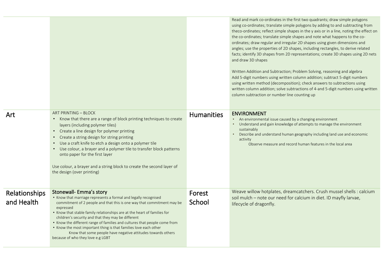| Art                         | ART PRINTING - BLOCK<br>• Know that there are a range of block printing techniques to create<br>layers (including polymer tiles)<br>• Create a line design for polymer printing<br>• Create a string design for string printing<br>• Use a craft knife to etch a design onto a polymer tile<br>• Use colour, a brayer and a polymer tile to transfer block patterns<br>onto paper for the first layer<br>Use colour, a brayer and a string block to create the second layer of<br>the design (over printing)                                                              | <b>Humanities</b> | Read and mark co-ordinates in the first two quadrants; draw simple polygons<br>using co-ordinates; translate simple polygons by adding to and subtracting from<br>theco-ordinates; reflect simple shapes in the y axis or in a line, noting the effect on<br>the co-ordinates; translate simple shapes and note what happens to the co-<br>ordinates; draw regular and irregular 2D shapes using given dimensions and<br>angles; use the properties of 2D shapes, including rectangles, to derive related<br>facts; identify 3D shapes from 2D representations; create 3D shapes using 2D nets<br>and draw 3D shapes<br>Written Addition and Subtraction; Problem Solving, reasoning and algebra<br>Add 5-digit numbers using written column addition; subtract 5-digit numbers<br>using written method (decomposition); check answers to subtractions using<br>written column addition; solve subtractions of 4-and 5-digit numbers using written<br>column subtraction or number line counting up<br><b>ENVIRONMENT</b><br>An environmental issue caused by a changing environment<br>Understand and gain knowledge of attempts to manage the environment<br>$\bullet$ .<br>sustainably<br>Describe and understand human geography including land use and economic<br>activity<br>Observe measure and record human features in the local area |
|-----------------------------|---------------------------------------------------------------------------------------------------------------------------------------------------------------------------------------------------------------------------------------------------------------------------------------------------------------------------------------------------------------------------------------------------------------------------------------------------------------------------------------------------------------------------------------------------------------------------|-------------------|-------------------------------------------------------------------------------------------------------------------------------------------------------------------------------------------------------------------------------------------------------------------------------------------------------------------------------------------------------------------------------------------------------------------------------------------------------------------------------------------------------------------------------------------------------------------------------------------------------------------------------------------------------------------------------------------------------------------------------------------------------------------------------------------------------------------------------------------------------------------------------------------------------------------------------------------------------------------------------------------------------------------------------------------------------------------------------------------------------------------------------------------------------------------------------------------------------------------------------------------------------------------------------------------------------------------------------------------------|
| Relationships<br>and Health | Stonewall- Emma's story<br>• Know that marriage represents a formal and legally recognised<br>commitment of 2 people and that this is one way that commitment may be<br>expressed<br>• Know that stable family relationships are at the heart of families for<br>children's security and that they may be different<br>• Know the different range of families and cultures that people come from<br>• Know the most important thing is that families love each other<br>Know that some people have negative attitudes towards others<br>because of who they love e.g LGBT | Forest<br>School  | Weave willow hotplates, dreamcatchers. Crush mussel shells : calcium<br>soil mulch - note our need for calcium in diet. ID mayfly larvae,<br>lifecycle of dragonfly.                                                                                                                                                                                                                                                                                                                                                                                                                                                                                                                                                                                                                                                                                                                                                                                                                                                                                                                                                                                                                                                                                                                                                                            |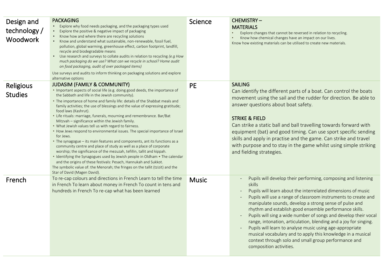| Design and<br>technology /<br><b>Woodwork</b> | <b>PACKAGING</b><br>Explore why food needs packaging, and the packaging types used<br>Explore the positive & negative impact of packaging<br>$\bullet$<br>Know how and where there are recycling solutions<br>$\bullet$<br>• Know and understand what sustainable, non-renewable, fossil fuel,<br>pollution, global warming, greenhouse effect, carbon footprint, landfill,<br>recycle and biodegradable means<br>• Use research and surveys to collate audits in relation to recycling (e.g How<br>much packaging do we use? What can we recycle in school? Home audit<br>on food packaging, audit of over packaged items)<br>Use surveys and audits to inform thinking on packaging solutions and explore<br>alternative options                                                                                                                                                                                                                                                                                                                                                                                                                       | Science      | <b>CHEMISTRY-</b><br><b>MATERIALS</b><br>Explore changes that cannot be reversed in relation to recycling.<br>Know how chemical changes have an impact on our lives.<br>Know how existing materials can be utilised to create new materials.                                                                                                                                                                                                                                                                                                                                                                                                                                       |
|-----------------------------------------------|----------------------------------------------------------------------------------------------------------------------------------------------------------------------------------------------------------------------------------------------------------------------------------------------------------------------------------------------------------------------------------------------------------------------------------------------------------------------------------------------------------------------------------------------------------------------------------------------------------------------------------------------------------------------------------------------------------------------------------------------------------------------------------------------------------------------------------------------------------------------------------------------------------------------------------------------------------------------------------------------------------------------------------------------------------------------------------------------------------------------------------------------------------|--------------|------------------------------------------------------------------------------------------------------------------------------------------------------------------------------------------------------------------------------------------------------------------------------------------------------------------------------------------------------------------------------------------------------------------------------------------------------------------------------------------------------------------------------------------------------------------------------------------------------------------------------------------------------------------------------------|
| Religious<br><b>Studies</b>                   | <b>JUDASIM (FAMILY &amp; COMMUNITY)</b><br>. Important aspects of social life (e.g. doing good deeds, the importance of<br>the Sabbath and life in the Jewish community).<br>• The importance of home and family life: details of the Shabbat meals and<br>family activities; the use of blessings and the value of expressing gratitude;<br>food laws (Kashrut).<br>• Life rituals: marriage, funerals, mourning and remembrance. Bar/Bat<br>Mitzvah – significance within the Jewish family.<br>• What Jewish values tell us with regard to fairness.<br>• How Jews respond to environmental issues. The special importance of Israel<br>for Jews.<br>• The synagogue - its main features and components, ant its functions as a<br>community centre and place of study as well as a place of corporate<br>worship; the significance of the mezuzah, tefillin, tallit and kippah.<br>• Identifying the Synagogues used by Jewish people in Oldham • The calendar<br>and the origins of these festivals: Pesach, Hannukah and Sukkot.<br>The symbolic value of: the Menorah; the fringes on the tallit (tzizit) and the<br>Star of David (Magen David). | <b>PE</b>    | <b>SAILING</b><br>Can identify the different parts of a boat. Can control the boats<br>movement using the sail and the rudder for direction. Be able to<br>answer questions about boat safety.<br><b>STRIKE &amp; FIELD</b><br>Can strike a static ball and ball travelling towards forward with<br>equipment (bat) and good timing. Can use sport specific sending<br>skills and apply in practise and the game. Can strike and travel<br>with purpose and to stay in the game whilst using simple striking<br>and fielding strategies.                                                                                                                                           |
| French                                        | To re-cap colours and directions in French Learn to tell the time<br>in French To learn about money in French To count in tens and<br>hundreds in French To re-cap what has been learned                                                                                                                                                                                                                                                                                                                                                                                                                                                                                                                                                                                                                                                                                                                                                                                                                                                                                                                                                                 | <b>Music</b> | Pupils will develop their performing, composing and listening<br>skills<br>Pupils will learn about the interrelated dimensions of music<br>Pupils will use a range of classroom instruments to create and<br>manipulate sounds, develop a strong sense of pulse and<br>rhythm and establish good ensemble performance skills.<br>Pupils will sing a wide number of songs and develop their vocal<br>range, intonation, articulation, blending and a joy for singing.<br>Pupils will learn to analyse music using age-appropriate<br>musical vocabulary and to apply this knowledge in a musical<br>context through solo and small group performance and<br>composition activities. |